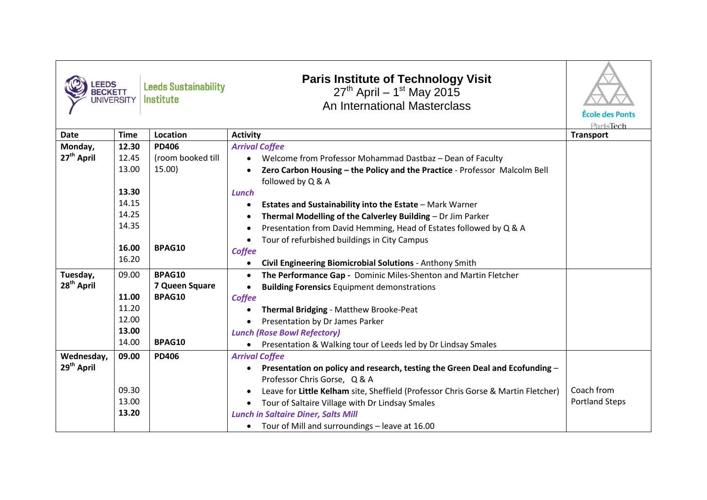| <b>EEDS</b><br><b>BECKETT</b> | <b>JNIVERSITY</b> | <b>Leeds Sustainability</b><br><b>Institute</b> | <b>Paris Institute of Technology Visit</b><br>$27^{th}$ April – 1 <sup>st</sup> May 2015<br>An International Masterclass | École des Ponts<br>ParisTech |
|-------------------------------|-------------------|-------------------------------------------------|--------------------------------------------------------------------------------------------------------------------------|------------------------------|
| <b>Date</b>                   | <b>Time</b>       | <b>Location</b>                                 | <b>Activity</b>                                                                                                          | <b>Transport</b>             |
| Monday,                       | 12.30             | <b>PD406</b>                                    | <b>Arrival Coffee</b>                                                                                                    |                              |
| 27 <sup>th</sup> April        | 12.45             | (room booked till                               | Welcome from Professor Mohammad Dastbaz - Dean of Faculty<br>$\bullet$                                                   |                              |
|                               | 13.00             | 15.00)                                          | Zero Carbon Housing - the Policy and the Practice - Professor Malcolm Bell<br>followed by Q & A                          |                              |
|                               | 13.30             |                                                 | Lunch                                                                                                                    |                              |
|                               | 14.15             |                                                 | <b>Estates and Sustainability into the Estate - Mark Warner</b><br>٠                                                     |                              |
|                               | 14.25             |                                                 | Thermal Modelling of the Calverley Building - Dr Jim Parker                                                              |                              |
|                               | 14.35             |                                                 | Presentation from David Hemming, Head of Estates followed by Q & A                                                       |                              |
|                               |                   |                                                 | Tour of refurbished buildings in City Campus                                                                             |                              |
|                               | 16.00             | BPAG10                                          | Coffee                                                                                                                   |                              |
|                               | 16.20             |                                                 | Civil Engineering Biomicrobial Solutions - Anthony Smith<br>$\bullet$                                                    |                              |
| Tuesday,                      | 09.00             | BPAG10                                          | The Performance Gap - Dominic Miles-Shenton and Martin Fletcher<br>$\bullet$                                             |                              |
| 28 <sup>th</sup> April        |                   | 7 Queen Square                                  | <b>Building Forensics Equipment demonstrations</b><br>$\bullet$                                                          |                              |
|                               | 11.00             | BPAG10                                          | Coffee                                                                                                                   |                              |
|                               | 11.20             |                                                 | Thermal Bridging - Matthew Brooke-Peat                                                                                   |                              |
|                               | 12.00             |                                                 | Presentation by Dr James Parker                                                                                          |                              |
|                               | 13.00             |                                                 | <b>Lunch (Rose Bowl Refectory)</b>                                                                                       |                              |
|                               | 14.00             | <b>BPAG10</b>                                   | Presentation & Walking tour of Leeds led by Dr Lindsay Smales                                                            |                              |
| Wednesday,                    | 09.00             | <b>PD406</b>                                    | <b>Arrival Coffee</b>                                                                                                    |                              |
| 29 <sup>th</sup> April        |                   |                                                 | Presentation on policy and research, testing the Green Deal and Ecofunding $-$<br>$\bullet$                              |                              |
|                               |                   |                                                 | Professor Chris Gorse, Q & A                                                                                             |                              |
|                               | 09.30             |                                                 | Leave for Little Kelham site, Sheffield (Professor Chris Gorse & Martin Fletcher)<br>٠                                   | Coach from                   |
|                               | 13.00             |                                                 | Tour of Saltaire Village with Dr Lindsay Smales                                                                          | <b>Portland Steps</b>        |
|                               | 13.20             |                                                 | <b>Lunch in Saltaire Diner, Salts Mill</b>                                                                               |                              |
|                               |                   |                                                 | • Tour of Mill and surroundings - leave at 16.00                                                                         |                              |